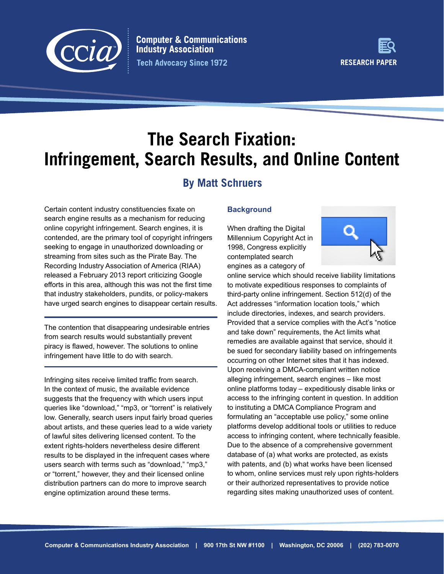

**Computer & Communications Industry Association Tech Advocacy Since 1972** 



# **The Search Fixation: Infringement, Search Results, and Online Content**

# **By Matt Schruers**

Certain content industry constituencies fixate on search engine results as a mechanism for reducing online copyright infringement. Search engines, it is contended, are the primary tool of copyright infringers seeking to engage in unauthorized downloading or streaming from sites such as the Pirate Bay. The Recording Industry Association of America (RIAA) released a February 2013 report criticizing Google efforts in this area, although this was not the first time that industry stakeholders, pundits, or policy-makers have urged search engines to disappear certain results.

The contention that disappearing undesirable entries from search results would substantially prevent piracy is flawed, however. The solutions to online infringement have little to do with search.

Infringing sites receive limited traffic from search. In the context of music, the available evidence suggests that the frequency with which users input queries like "download," "mp3, or "torrent" is relatively low. Generally, search users input fairly broad queries about artists, and these queries lead to a wide variety of lawful sites delivering licensed content. To the extent rights-holders nevertheless desire different results to be displayed in the infrequent cases where users search with terms such as "download," "mp3," or "torrent," however, they and their licensed online distribution partners can do more to improve search engine optimization around these terms.

# **Background**

When drafting the Digital Millennium Copyright Act in 1998, Congress explicitly contemplated search engines as a category of



online service which should receive liability limitations to motivate expeditious responses to complaints of third-party online infringement. Section 512(d) of the Act addresses "information location tools," which include directories, indexes, and search providers. Provided that a service complies with the Act's "notice and take down" requirements, the Act limits what remedies are available against that service, should it be sued for secondary liability based on infringements occurring on other Internet sites that it has indexed. Upon receiving a DMCA-compliant written notice alleging infringement, search engines – like most online platforms today  $-$  expeditiously disable links or access to the infringing content in question. In addition to instituting a DMCA Compliance Program and formulating an "acceptable use policy," some online platforms develop additional tools or utilities to reduce access to infringing content, where technically feasible. Due to the absence of a comprehensive government database of (a) what works are protected, as exists with patents, and (b) what works have been licensed to whom, online services must rely upon rights-holders or their authorized representatives to provide notice regarding sites making unauthorized uses of content.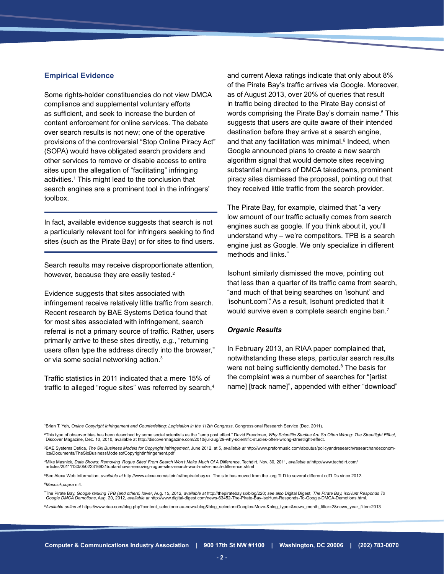#### **Empirical Evidence**

Some rights-holder constituencies do not view DMCA compliance and supplemental voluntary efforts as sufficient, and seek to increase the burden of content enforcement for online services. The debate over search results is not new; one of the operative provisions of the controversial "Stop Online Piracy Act" (SOPA) would have obligated search providers and other services to remove or disable access to entire sites upon the allegation of "facilitating" infringing activities.<sup>1</sup> This might lead to the conclusion that search engines are a prominent tool in the infringers' toolbox.

In fact, available evidence suggests that search is not a particularly relevant tool for infringers seeking to find sites (such as the Pirate Bay) or for sites to find users.

Search results may receive disproportionate attention, however, because they are easily tested.<sup>2</sup>

Evidence suggests that sites associated with infringement receive relatively little traffic from search. Recent research by BAE Systems Detica found that for most sites associated with infringement, search referral is not a primary source of traffic. Rather, users primarily arrive to these sites directly, *e.g.*, "returning users often type the address directly into the browser," or via some social networking action.3

Traffic statistics in 2011 indicated that a mere 15% of traffic to alleged "rogue sites" was referred by search,<sup>4</sup> and current Alexa ratings indicate that only about 8% of the Pirate Bay's traffic arrives via Google. Moreover, as of August 2013, over 20% of queries that result in traffic being directed to the Pirate Bay consist of words comprising the Pirate Bay's domain name.<sup>5</sup> This suggests that users are quite aware of their intended destination before they arrive at a search engine, and that any facilitation was minimal.<sup>6</sup> Indeed, when Google announced plans to create a new search algorithm signal that would demote sites receiving substantial numbers of DMCA takedowns, prominent piracy sites dismissed the proposal, pointing out that they received little traffic from the search provider.

The Pirate Bay, for example, claimed that "a very low amount of our traffic actually comes from search engines such as google. If you think about it, you'll understand why – we're competitors. TPB is a search engine just as Google. We only specialize in different methods and links."

Isohunt similarly dismissed the move, pointing out that less than a quarter of its traffic came from search, "and much of that being searches on 'isohunt' and 'isohunt.com'". As a result, Isohunt predicted that it would survive even a complete search engine ban.<sup>7</sup>

#### *Organic Results*

In February 2013, an RIAA paper complained that, notwithstanding these steps, particular search results were not being sufficiently demoted. $8$  The basis for the complaint was a number of searches for "[artist name] [track name]", appended with either "download"

1 Brian T. Yeh, *Online Copyright Infringement and Counterfeiting: Legislation in the 112th Congress*, Congressional Research Service (Dec. 2011).

<sup>2</sup>This type of observer bias has been described by some social scientists as the "lamp post effect." David Freedman, *Why Scientific Studies Are So Often Wrong: The Streetlight Effect,* Discover Magazine, Dec. 10, 2010, available at http://discovermagazine.com/2010/jul-aug/29-why-scientific-studies-often-wrong-streetlight-effect.

<sup>3</sup>BAE Systems Detica, The Six Business Models for Copyright Infringement, June 2012, at 5, available at [http://www.prsformusic.com/aboutus/policyandresearch/researchandeconom-](http://www.prsformusic.com/aboutus/policyandresearch/researchandeconomics/Documents/TheSixBusinessModelsofCopyrightInfringement.pdf)LFV'LE Systems Botton, The Six BusinessModelsofCopyrightInfringement.pdf<br>ics/Documents/TheSixBusinessModelsofCopyrightInfringement.pdf

Mike Masnick, *Data Shows: Removing 'Rogue Sites' From Search Won't Make Much Of A Difference*, Techdirt, Nov. 30, 2011, available at [http://www.techdirt.com/](http://www.techdirt.com/articles/20111130/05022316931/data-shows-removing-rogue-sites-search-wont-make-much-difference.shtml) [articles/20111130/05022316931/data-shows-removing-rogue-sites-search-wont-make-much-difference.shtml](http://www.techdirt.com/articles/20111130/05022316931/data-shows-removing-rogue-sites-search-wont-make-much-difference.shtml)

<sup>5</sup>See Alexa Web Information, available at http://www.alexa.com/siteinfo/thepiratebay.sx. The site has moved from the .org TLD to several different ccTLDs since 2012. <sup>6</sup>Masnick,supra n.4.

<sup>7</sup>The Pirate Bay, Google ranking TPB (and others) lower, Aug. 15, 2012, available at http://thepiratebay.sx/blog/220; see also Digital Digest, The Pirate Bay, isoHunt Responds To<br>Google DMCA Demotions, Aug. 20, 2012, avai

<sup>8</sup>Available online at https://www.riaa.com/blog.php?content\_selector=riaa-news-blog&blog\_selector=Googles-Move-&blog\_type=&news\_month\_filter=2&news\_year\_filter=2013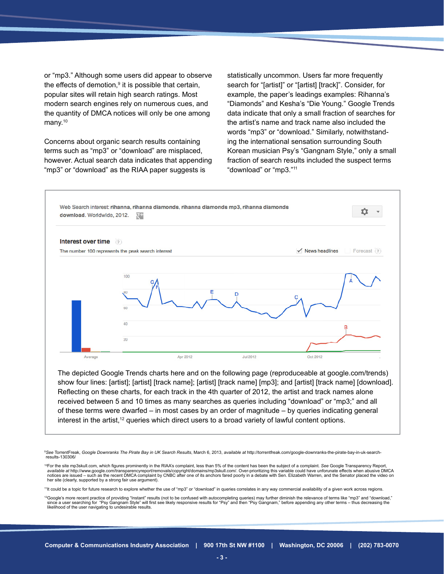or "mp3." Although some users did appear to observe the effects of demotion, $9$  it is possible that certain, popular sites will retain high search ratings. Most modern search engines rely on numerous cues, and the quantity of DMCA notices will only be one among many.<sup>10</sup>

Concerns about organic search results containing terms such as "mp3" or "download" are misplaced, however. Actual search data indicates that appending "mp3" or "download" as the RIAA paper suggests is

statistically uncommon. Users far more frequently search for "[artist]" or "[artist] [track]". Consider, for example, the paper's leadings examples: Rihanna's "Diamonds" and Kesha's "Die Young." Google Trends data indicate that only a small fraction of searches for the artist's name and track name also included the words "mp3" or "download." Similarly, notwithstanding the international sensation surrounding South Korean musician Psy's "Gangnam Style," only a small fraction of search results included the suspect terms "download" or "mp3."11



show four lines: [artist]; [artist] [track name]; [artist] [track name] [mp3]; and [artist] [track name] [download]. Reflecting on these charts, for each track in the 4th quarter of 2012, the artist and track names alone received between 5 and 10 times as many searches as queries including "download" or "mp3;" and all of these terms were dwarfed – in most cases by an order of magnitude – by queries indicating general interest in the artist,<sup>12</sup> queries which direct users to a broad variety of lawful content options.

<sup>&</sup>lt;sup>9</sup>See TorrentFreak, Google Downranks The Pirate Bay in UK Search Results, March 6, 2013, available at [http://torrentfreak.com/google-downranks-the-pirate-bay-in-uk-search](http://torrentfreak.com/google-downranks-the-pirate-bay-in-uk-search-results-130306/)[results-130306/](http://torrentfreak.com/google-downranks-the-pirate-bay-in-uk-search-results-130306/)

<sup>&</sup>lt;sup>10</sup>For the site mp3skull.com, which figures prominently in the RIAA's complaint, less than 5% of the content has been the subiect of a complaint. See Google Transparency Report, *available at* [http://www.google.com/transparencyreport/removals/copyright/domains/mp3skull.com/.](http://www.google.com/transparencyreport/removals/copyright/domains/mp3skull.com/) Over-prioritizing this variable could have unforunate effects when abusive DMCA notices are issued – such as the recent DMCA complaint by CNBC after one of its anchors fared poorly in a debate with Sen. Elizabeth Warren, and the Senator placed the video on<br>her site (clearly, supported by a strong fair

<sup>&</sup>lt;sup>11</sup>It could be a topic for future research to explore whether the use of "mp3" or "download" in queries correlates in any way commercial availability of a given work across regions.

<sup>12</sup>Google's more recent practice of providing "Instant" results (not to be confused with autocompleting queries) may further diminish the relevance of terms like "mp3" and "download," since a user searching for "Psy Gangnam Style" will first see likely responsive results for "Psy" and then "Psy Gangnam," before appending any other terms – thus decreasing the<br>likelihood of the user navigating to undesira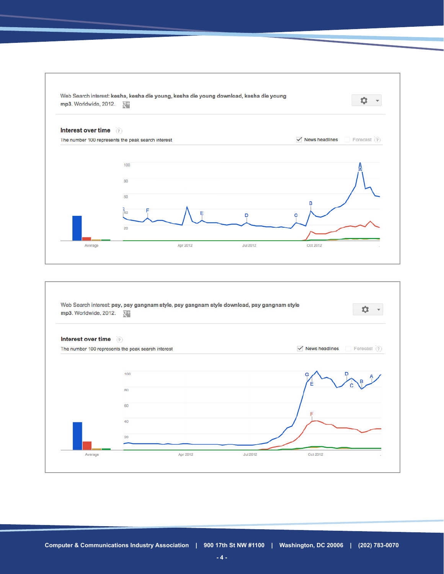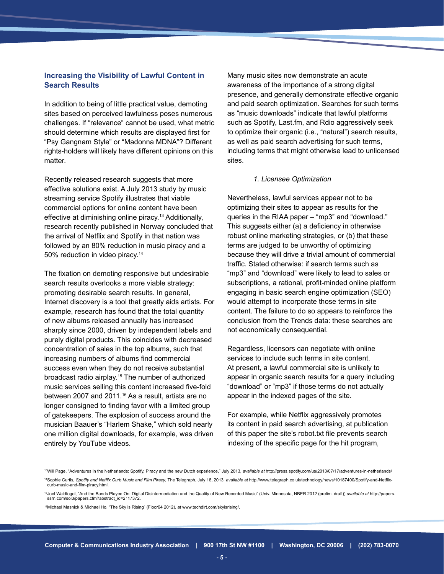## **Increasing the Visibility of Lawful Content in Search Results**

In addition to being of little practical value, demoting sites based on perceived lawfulness poses numerous challenges. If "relevance" cannot be used, what metric should determine which results are displayed first for "Psy Gangnam Style" or "Madonna MDNA"? Different rights-holders will likely have different opinions on this matter.

Recently released research suggests that more effective solutions exist. A July 2013 study by music streaming service Spotify illustrates that viable commercial options for online content have been effective at diminishing online piracy.<sup>13</sup> Additionally, research recently published in Norway concluded that the arrival of Netflix and Spotify in that nation was followed by an 80% reduction in music piracy and a 50% reduction in video piracy.<sup>14</sup>

The fixation on demoting responsive but undesirable search results overlooks a more viable strategy: promoting desirable search results. In general, Internet discovery is a tool that greatly aids artists. For example, research has found that the total quantity of new albums released annually has increased sharply since 2000, driven by independent labels and purely digital products. This coincides with decreased concentration of sales in the top albums, such that increasing numbers of albums find commercial success even when they do not receive substantial broadcast radio airplay.15 The number of authorized music services selling this content increased five-fold between 2007 and 2011.<sup>16</sup> As a result, artists are no longer consigned to finding favor with a limited group of gatekeepers. The explosion of success around the musician Baauer's "Harlem Shake," which sold nearly one million digital downloads, for example, was driven entirely by YouTube videos.

Many music sites now demonstrate an acute awareness of the importance of a strong digital presence, and generally demonstrate effective organic and paid search optimization. Searches for such terms as "music downloads" indicate that lawful platforms such as Spotify, Last.fm, and Rdio aggressively seek to optimize their organic (i.e., "natural") search results, as well as paid search advertising for such terms, including terms that might otherwise lead to unlicensed sites.

#### *1. Licensee Optimization*

Nevertheless, lawful services appear not to be optimizing their sites to appear as results for the queries in the RIAA paper – "mp3" and "download." This suggests either (a) a deficiency in otherwise robust online marketing strategies, or (b) that these terms are judged to be unworthy of optimizing because they will drive a trivial amount of commercial traffic. Stated otherwise: if search terms such as "mp3" and "download" were likely to lead to sales or subscriptions, a rational, profit-minded online platform engaging in basic search engine optimization (SEO) would attempt to incorporate those terms in site content. The failure to do so appears to reinforce the conclusion from the Trends data: these searches are not economically consequential.

Regardless, licensors can negotiate with online services to include such terms in site content. At present, a lawful commercial site is unlikely to appear in organic search results for a query including "download" or "mp3" if those terms do not actually appear in the indexed pages of the site.

For example, while Netflix aggressively promotes its content in paid search advertising, at publication of this paper the site's robot.txt file prevents search indexing of the specific page for the hit program,

16Michael Masnick & Michael Ho, "The Sky is Rising" (Floor64 2012), *at* [www.techdirt.com/skyisrising/.](www.techdirt.com/skyisrising/)

<sup>&</sup>lt;sup>13</sup>Will Page. "Adventures in the Netherlands: Spotify. Piracy and the new Dutch experience." July 2013. available at <http://press.spotify.com/us/2013/07/17/adventures-in-netherlands/> <sup>14</sup>Sophie Curtis, Spotify and Netflix Curb Music and Film Piracy, The Telegraph, July 18, 2013, available at http://www.telegraph.co.uk/technology/news/10187400/Spotify-and-Netflixcurb-music-and-film-piracy.html.

<sup>15</sup>Joel Waldfogel, "And the Bands Played On: Digital Disintermediation and the Quality of New Recorded Music" (Univ. Minnesota, NBER 2012 (prelim. draft)) *available at* [http://papers.](http://papers.ssrn.com/sol3/papers.cfm?abstract_id=2117372) [ssrn.com/sol3/papers.cfm?abstract\\_id=2117372.](http://papers.ssrn.com/sol3/papers.cfm?abstract_id=2117372)